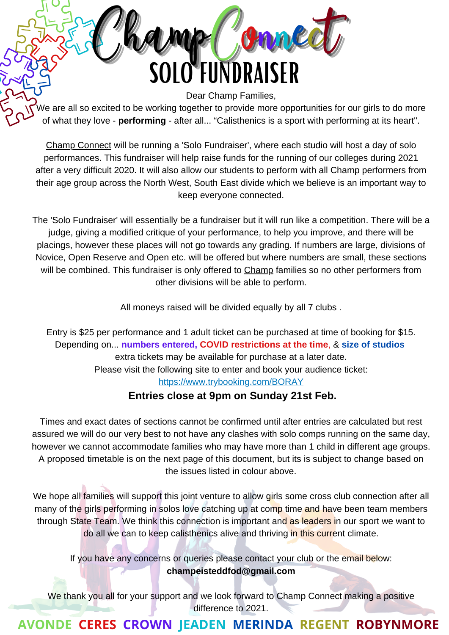Dear Champ Families, We are all so excited to be working together to provide more opportunities for our girls to do more of what they love - **performing** - after all... "Calisthenics is a sport with performing at its heart".

SOLO FUNDRAISER

Champ Connect

Champ Connect will be running a 'Solo Fundraiser', where each studio will host a day of solo performances. This fundraiser will help raise funds for the running of our colleges during 2021 after a very difficult 2020. It will also allow our students to perform with all Champ performers from their age group across the North West, South East divide which we believe is an important way to keep everyone connected.

The 'Solo Fundraiser' will essentially be a fundraiser but it will run like a competition. There will be a judge, giving a modified critique of your performance, to help you improve, and there will be placings, however these places will not go towards any grading. If numbers are large, divisions of Novice, Open Reserve and Open etc. will be offered but where numbers are small, these sections will be combined. This fundraiser is only offered to Champ families so no other performers from other divisions will be able to perform.

All moneys raised will be divided equally by all 7 clubs .

Entry is \$25 per performance and 1 adult ticket can be purchased at time of booking for \$15. Depending on... **numbers entered, COVID restrictions at the time**, & **size of studios** extra tickets may be available for purchase at a later date. Please visit the following site to enter and book your audience ticket: <https://www.trybooking.com/BORAY>

#### **Entries close at 9pm on Sunday 21st Feb.**

Times and exact dates of sections cannot be confirmed until after entries are calculated but rest assured we will do our very best to not have any clashes with solo comps running on the same day, however we cannot accommodate families who may have more than 1 child in different age groups. A proposed timetable is on the next page of this document, but its is subject to change based on the issues listed in colour above.

We hope all families will support this joint venture to allow girls some cross club connection after all many of the girls performing in solos love catching up at comp time and have been team members through State Team. We think this connection is important and as leaders in our sport we want to do all we can to keep calisthenics alive and thriving in this current climate.

If you have any concerns or queries please contact your club or the email below: **champeisteddfod@gmail.com**

We thank you all for your support and we look forward to Champ Connect making a positive difference to 2021.

# **AVONDE CERES CROWN JEADEN MERINDA REGENT ROBYNMORE**